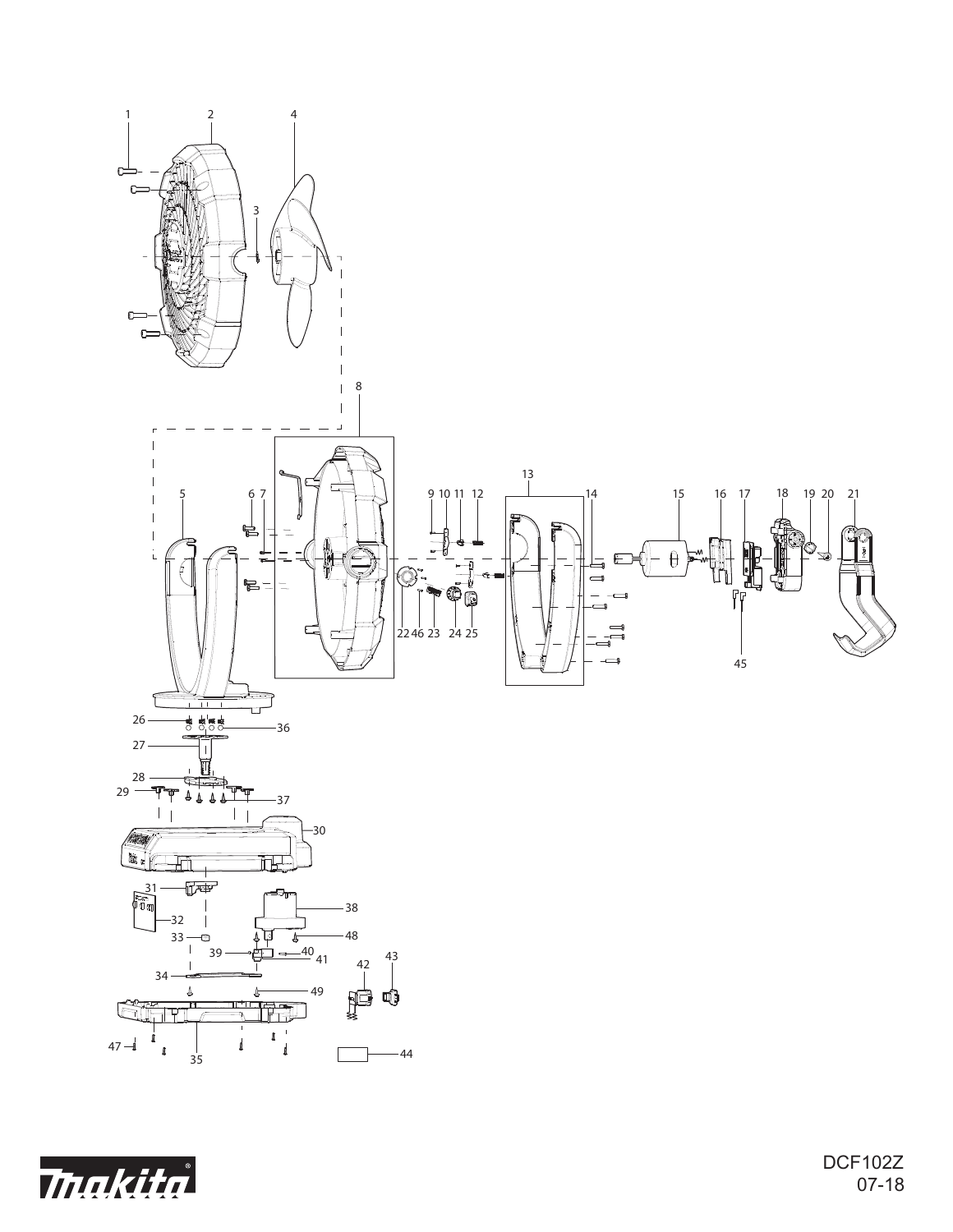



DCF102Z 07-18